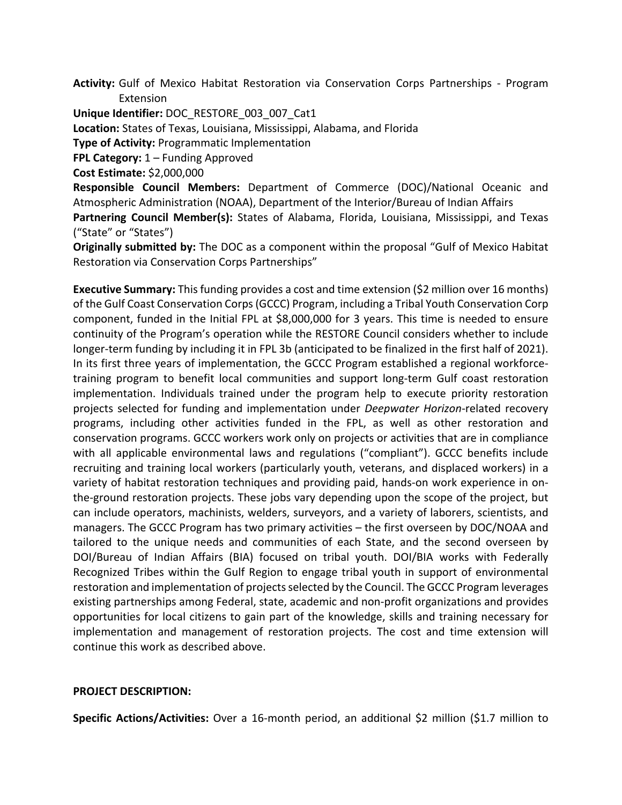**Activity:** Gulf of Mexico Habitat Restoration via Conservation Corps Partnerships - Program Extension

**Unique Identifier:** DOC\_RESTORE\_003\_007\_Cat1

**Location:** States of Texas, Louisiana, Mississippi, Alabama, and Florida

**Type of Activity:** Programmatic Implementation

**FPL Category:** 1 – Funding Approved

**Cost Estimate:** \$2,000,000

**Responsible Council Members:** Department of Commerce (DOC)/National Oceanic and Atmospheric Administration (NOAA), Department of the Interior/Bureau of Indian Affairs **Partnering Council Member(s):** States of Alabama, Florida, Louisiana, Mississippi, and Texas

("State" or "States")

**Originally submitted by:** The DOC as a component within the proposal "Gulf of Mexico Habitat Restoration via Conservation Corps Partnerships"

**Executive Summary:** This funding provides a cost and time extension (\$2 million over 16 months) of the Gulf Coast Conservation Corps (GCCC) Program, including a Tribal Youth Conservation Corp component, funded in the Initial FPL at \$8,000,000 for 3 years. This time is needed to ensure continuity of the Program's operation while the RESTORE Council considers whether to include longer-term funding by including it in FPL 3b (anticipated to be finalized in the first half of 2021). In its first three years of implementation, the GCCC Program established a regional workforcetraining program to benefit local communities and support long-term Gulf coast restoration implementation. Individuals trained under the program help to execute priority restoration projects selected for funding and implementation under *Deepwater Horizon*-related recovery programs, including other activities funded in the FPL, as well as other restoration and conservation programs. GCCC workers work only on projects or activities that are in compliance with all applicable environmental laws and regulations ("compliant"). GCCC benefits include recruiting and training local workers (particularly youth, veterans, and displaced workers) in a variety of habitat restoration techniques and providing paid, hands-on work experience in onthe-ground restoration projects. These jobs vary depending upon the scope of the project, but can include operators, machinists, welders, surveyors, and a variety of laborers, scientists, and managers. The GCCC Program has two primary activities – the first overseen by DOC/NOAA and tailored to the unique needs and communities of each State, and the second overseen by DOI/Bureau of Indian Affairs (BIA) focused on tribal youth. DOI/BIA works with Federally Recognized Tribes within the Gulf Region to engage tribal youth in support of environmental restoration and implementation of projects selected by the Council. The GCCC Program leverages existing partnerships among Federal, state, academic and non-profit organizations and provides opportunities for local citizens to gain part of the knowledge, skills and training necessary for implementation and management of restoration projects. The cost and time extension will continue this work as described above.

## **PROJECT DESCRIPTION:**

**Specific Actions/Activities:** Over a 16-month period, an additional \$2 million (\$1.7 million to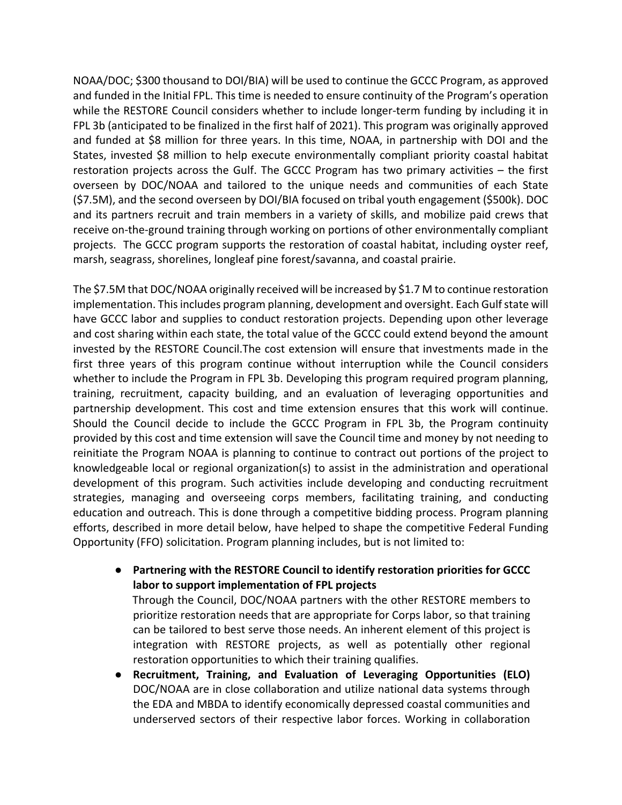NOAA/DOC; \$300 thousand to DOI/BIA) will be used to continue the GCCC Program, as approved and funded in the Initial FPL. This time is needed to ensure continuity of the Program's operation while the RESTORE Council considers whether to include longer-term funding by including it in FPL 3b (anticipated to be finalized in the first half of 2021). This program was originally approved and funded at \$8 million for three years. In this time, NOAA, in partnership with DOI and the States, invested \$8 million to help execute environmentally compliant priority coastal habitat restoration projects across the Gulf. The GCCC Program has two primary activities – the first overseen by DOC/NOAA and tailored to the unique needs and communities of each State (\$7.5M), and the second overseen by DOI/BIA focused on tribal youth engagement (\$500k). DOC and its partners recruit and train members in a variety of skills, and mobilize paid crews that receive on-the-ground training through working on portions of other environmentally compliant projects. The GCCC program supports the restoration of coastal habitat, including oyster reef, marsh, seagrass, shorelines, longleaf pine forest/savanna, and coastal prairie.

The \$7.5M that DOC/NOAA originally received will be increased by \$1.7 M to continue restoration implementation. This includes program planning, development and oversight. Each Gulf state will have GCCC labor and supplies to conduct restoration projects. Depending upon other leverage and cost sharing within each state, the total value of the GCCC could extend beyond the amount invested by the RESTORE Council.The cost extension will ensure that investments made in the first three years of this program continue without interruption while the Council considers whether to include the Program in FPL 3b. Developing this program required program planning, training, recruitment, capacity building, and an evaluation of leveraging opportunities and partnership development. This cost and time extension ensures that this work will continue. Should the Council decide to include the GCCC Program in FPL 3b, the Program continuity provided by this cost and time extension will save the Council time and money by not needing to reinitiate the Program NOAA is planning to continue to contract out portions of the project to knowledgeable local or regional organization(s) to assist in the administration and operational development of this program. Such activities include developing and conducting recruitment strategies, managing and overseeing corps members, facilitating training, and conducting education and outreach. This is done through a competitive bidding process. Program planning efforts, described in more detail below, have helped to shape the competitive Federal Funding Opportunity (FFO) solicitation. Program planning includes, but is not limited to:

- **Partnering with the RESTORE Council to identify restoration priorities for GCCC labor to support implementation of FPL projects** Through the Council, DOC/NOAA partners with the other RESTORE members to prioritize restoration needs that are appropriate for Corps labor, so that training can be tailored to best serve those needs. An inherent element of this project is integration with RESTORE projects, as well as potentially other regional restoration opportunities to which their training qualifies.
- **Recruitment, Training, and Evaluation of Leveraging Opportunities (ELO)**  DOC/NOAA are in close collaboration and utilize national data systems through the EDA and MBDA to identify economically depressed coastal communities and underserved sectors of their respective labor forces. Working in collaboration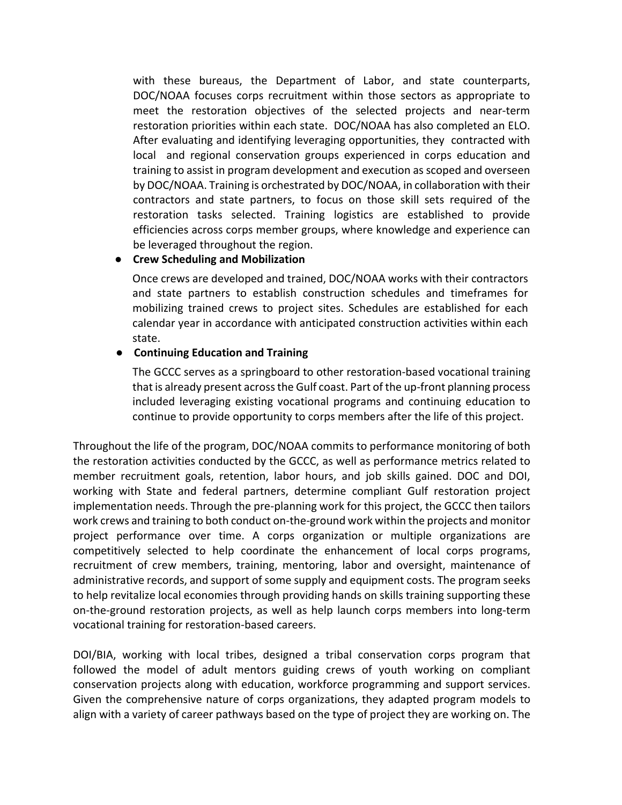with these bureaus, the Department of Labor, and state counterparts, DOC/NOAA focuses corps recruitment within those sectors as appropriate to meet the restoration objectives of the selected projects and near-term restoration priorities within each state. DOC/NOAA has also completed an ELO. After evaluating and identifying leveraging opportunities, they contracted with local and regional conservation groups experienced in corps education and training to assist in program development and execution as scoped and overseen by DOC/NOAA. Training is orchestrated by DOC/NOAA, in collaboration with their contractors and state partners, to focus on those skill sets required of the restoration tasks selected. Training logistics are established to provide efficiencies across corps member groups, where knowledge and experience can be leveraged throughout the region.

# ● **Crew Scheduling and Mobilization**

Once crews are developed and trained, DOC/NOAA works with their contractors and state partners to establish construction schedules and timeframes for mobilizing trained crews to project sites. Schedules are established for each calendar year in accordance with anticipated construction activities within each state.

# ● **Continuing Education and Training**

The GCCC serves as a springboard to other restoration-based vocational training that is already present across the Gulf coast. Part of the up-front planning process included leveraging existing vocational programs and continuing education to continue to provide opportunity to corps members after the life of this project.

Throughout the life of the program, DOC/NOAA commits to performance monitoring of both the restoration activities conducted by the GCCC, as well as performance metrics related to member recruitment goals, retention, labor hours, and job skills gained. DOC and DOI, working with State and federal partners, determine compliant Gulf restoration project implementation needs. Through the pre-planning work for this project, the GCCC then tailors work crews and training to both conduct on-the-ground work within the projects and monitor project performance over time. A corps organization or multiple organizations are competitively selected to help coordinate the enhancement of local corps programs, recruitment of crew members, training, mentoring, labor and oversight, maintenance of administrative records, and support of some supply and equipment costs. The program seeks to help revitalize local economies through providing hands on skills training supporting these on-the-ground restoration projects, as well as help launch corps members into long-term vocational training for restoration-based careers.

DOI/BIA, working with local tribes, designed a tribal conservation corps program that followed the model of adult mentors guiding crews of youth working on compliant conservation projects along with education, workforce programming and support services. Given the comprehensive nature of corps organizations, they adapted program models to align with a variety of career pathways based on the type of project they are working on. The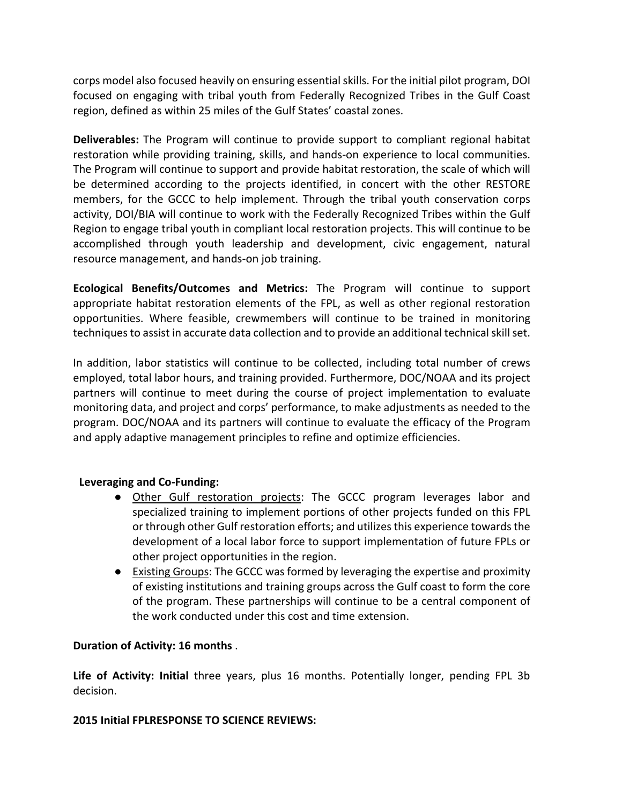corps model also focused heavily on ensuring essential skills. For the initial pilot program, DOI focused on engaging with tribal youth from Federally Recognized Tribes in the Gulf Coast region, defined as within 25 miles of the Gulf States' coastal zones.

**Deliverables:** The Program will continue to provide support to compliant regional habitat restoration while providing training, skills, and hands-on experience to local communities. The Program will continue to support and provide habitat restoration, the scale of which will be determined according to the projects identified, in concert with the other RESTORE members, for the GCCC to help implement. Through the tribal youth conservation corps activity, DOI/BIA will continue to work with the Federally Recognized Tribes within the Gulf Region to engage tribal youth in compliant local restoration projects. This will continue to be accomplished through youth leadership and development, civic engagement, natural resource management, and hands-on job training.

**Ecological Benefits/Outcomes and Metrics:** The Program will continue to support appropriate habitat restoration elements of the FPL, as well as other regional restoration opportunities. Where feasible, crewmembers will continue to be trained in monitoring techniques to assist in accurate data collection and to provide an additional technical skill set.

In addition, labor statistics will continue to be collected, including total number of crews employed, total labor hours, and training provided. Furthermore, DOC/NOAA and its project partners will continue to meet during the course of project implementation to evaluate monitoring data, and project and corps' performance, to make adjustments as needed to the program. DOC/NOAA and its partners will continue to evaluate the efficacy of the Program and apply adaptive management principles to refine and optimize efficiencies.

## **Leveraging and Co-Funding:**

- Other Gulf restoration projects: The GCCC program leverages labor and specialized training to implement portions of other projects funded on this FPL or through other Gulf restoration efforts; and utilizes this experience towards the development of a local labor force to support implementation of future FPLs or other project opportunities in the region.
- Existing Groups: The GCCC was formed by leveraging the expertise and proximity of existing institutions and training groups across the Gulf coast to form the core of the program. These partnerships will continue to be a central component of the work conducted under this cost and time extension.

## **Duration of Activity: 16 months** .

**Life of Activity: Initial** three years, plus 16 months. Potentially longer, pending FPL 3b decision.

## **2015 Initial FPLRESPONSE TO SCIENCE REVIEWS:**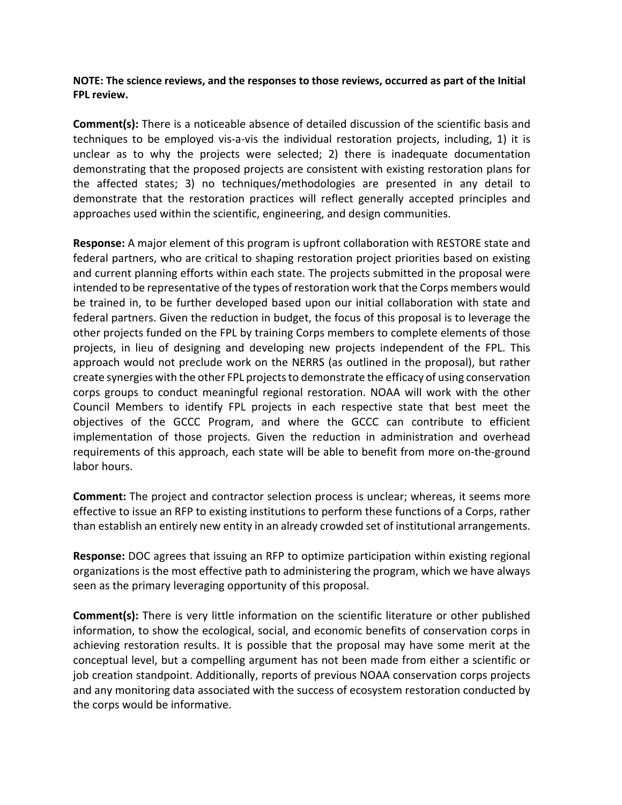**NOTE: The science reviews, and the responses to those reviews, occurred as part of the Initial FPL review.**

**Comment(s):** There is a noticeable absence of detailed discussion of the scientific basis and techniques to be employed vis-a-vis the individual restoration projects, including, 1) it is unclear as to why the projects were selected; 2) there is inadequate documentation demonstrating that the proposed projects are consistent with existing restoration plans for the affected states; 3) no techniques/methodologies are presented in any detail to demonstrate that the restoration practices will reflect generally accepted principles and approaches used within the scientific, engineering, and design communities.

**Response:** A major element of this program is upfront collaboration with RESTORE state and federal partners, who are critical to shaping restoration project priorities based on existing and current planning efforts within each state. The projects submitted in the proposal were intended to be representative of the types of restoration work that the Corps members would be trained in, to be further developed based upon our initial collaboration with state and federal partners. Given the reduction in budget, the focus of this proposal is to leverage the other projects funded on the FPL by training Corps members to complete elements of those projects, in lieu of designing and developing new projects independent of the FPL. This approach would not preclude work on the NERRS (as outlined in the proposal), but rather create synergies with the other FPL projects to demonstrate the efficacy of using conservation corps groups to conduct meaningful regional restoration. NOAA will work with the other Council Members to identify FPL projects in each respective state that best meet the objectives of the GCCC Program, and where the GCCC can contribute to efficient implementation of those projects. Given the reduction in administration and overhead requirements of this approach, each state will be able to benefit from more on-the-ground labor hours.

**Comment:** The project and contractor selection process is unclear; whereas, it seems more effective to issue an RFP to existing institutions to perform these functions of a Corps, rather than establish an entirely new entity in an already crowded set of institutional arrangements.

**Response:** DOC agrees that issuing an RFP to optimize participation within existing regional organizations is the most effective path to administering the program, which we have always seen as the primary leveraging opportunity of this proposal.

**Comment(s):** There is very little information on the scientific literature or other published information, to show the ecological, social, and economic benefits of conservation corps in achieving restoration results. It is possible that the proposal may have some merit at the conceptual level, but a compelling argument has not been made from either a scientific or job creation standpoint. Additionally, reports of previous NOAA conservation corps projects and any monitoring data associated with the success of ecosystem restoration conducted by the corps would be informative.